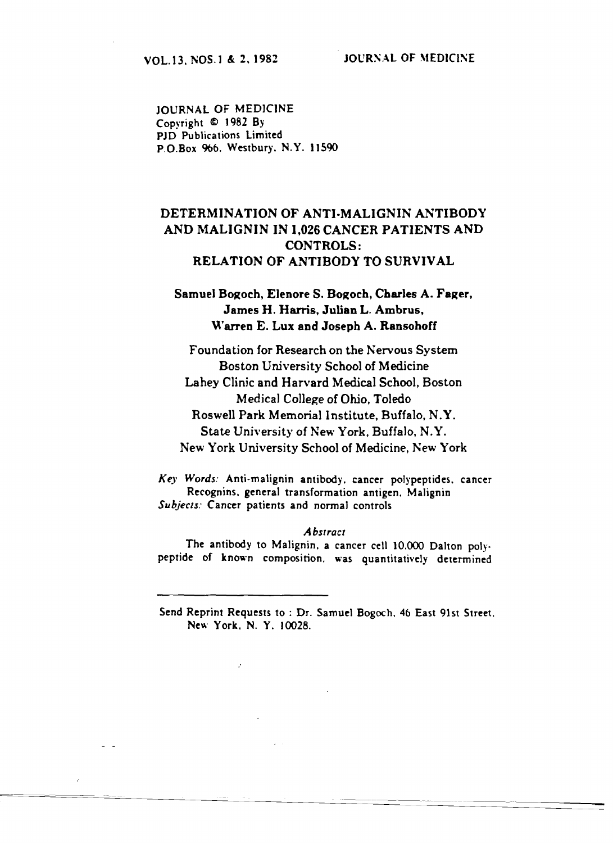**JOURNAL OF MEDICINE** Copyright © 1982 By PID Publications Limited P.O.Box 966. Westbury, N.Y. 11590

# DETERMINATION OF ANTI-MALIGNIN ANTIBODY AND MALIGNIN IN 1,026 CANCER PATIENTS AND **CONTROLS:** RELATION OF ANTIBODY TO SURVIVAL

## Samuel Bogoch, Elenore S. Bogoch, Charles A. Fager, James H. Harris, Julian L. Ambrus, Warren E. Lux and Joseph A. Ransohoff

Foundation for Research on the Nervous System Boston University School of Medicine Lahey Clinic and Harvard Medical School, Boston Medical College of Ohio. Toledo Roswell Park Memorial Institute, Buffalo, N.Y. State University of New York, Buffalo, N.Y. New York University School of Medicine, New York

Key Words: Anti-malignin antibody, cancer polypeptides, cancer Recognins, general transformation antigen, Malignin Subjects: Cancer patients and normal controls

#### **Abstract**

The antibody to Malignin, a cancer cell 10,000 Dalton polypeptide of known composition, was quantitatively determined

Send Reprint Requests to: Dr. Samuel Bogoch, 46 East 91st Street, New York, N. Y. 10028.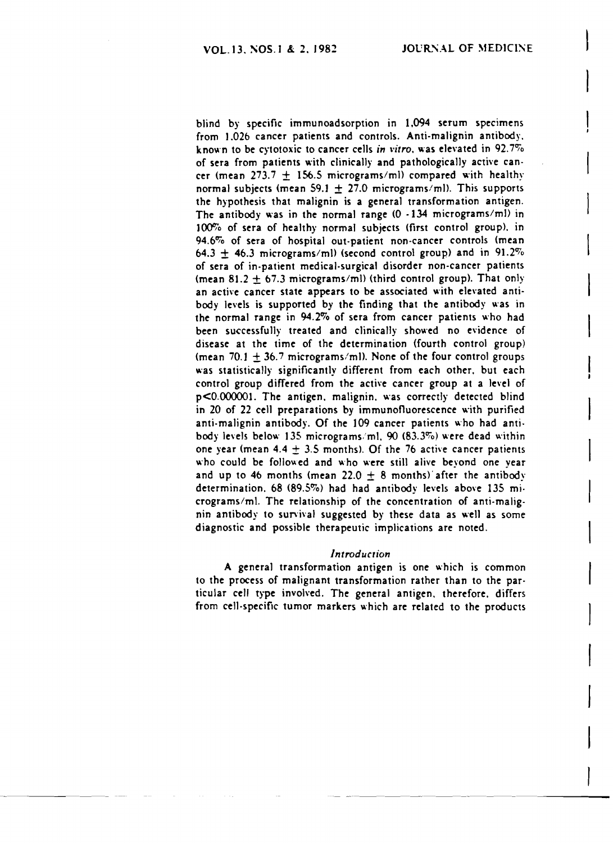blind by specific immunoadsorption in 1.094 serum specimens from 1.026 cancer patients and controls. Anti-malignin antibody. known to be cytotoxic to cancer cells *in vitro*, was elevated in 92.7% of sera from patients with clinically and pathologically active cancer (mean 273.7  $\pm$  156.5 micrograms/ml) compared with healthy normal subjects (mean 59.1  $\pm$  27.0 micrograms/ml). This supports the hypothesis that malignin is a general transformation antigen. The antibody was in the normal range  $(0 -134$  micrograms/ml) in 100% of sera of healthy normal subjects (first control group), in 94.6% of sera of hospital out-patient non-cancer controls (mean 64.3  $\pm$  46.3 micrograms/ml) (second control group) and in 91.2% of sera of in-patient medical.surgical disorder non-cancer patients (mean 81.2  $\pm$  67.3 micrograms/ml) (third control group). That only an active cancer state appears to be associated with elevated antibody levels is supported by the finding that the antibody was in the normal range in 94.2% of sera from cancer patients who had been successfully treated and clinically showed no evidence of disease at the time of the determination (fourth control group) (mean 70.1  $\pm$  36.7 micrograms/ml). None of the four control groups was statistically significantly different from each other. but each control group differed from the active cancer group at a level of p<O.OOOOO1. The antigen. malignin. was correctly detected blind in 20 of 22 cell preparations by immunofluorescence with purified anti-malignin antibody. Of the 109 cancer patients who had antibody levels below 135 micrograms/ml.  $90$  (83.3%) were dead within one year (mean  $4.4 \pm 3.5$  months). Of the 76 active cancer patients who could be followed and who were still alive beyond one year and up to 46 months (mean 22.0  $\pm$  8 months) after the antibody determination. 68 (89.5%) had had antibody levels above 135 micrograms/ml. The relationship of the concentration of anti-malignin antibody to sun'ival suggested by these data as well as some diagnostic and possible therapeutic implications are noted.

#### *Introducrion*

A general transformation antigen is one which is common to the process of malignant transformation rather than to the par· ticular cell type involved. The general antigen. therefore. differs from cell·specific tumor markers which are related to the products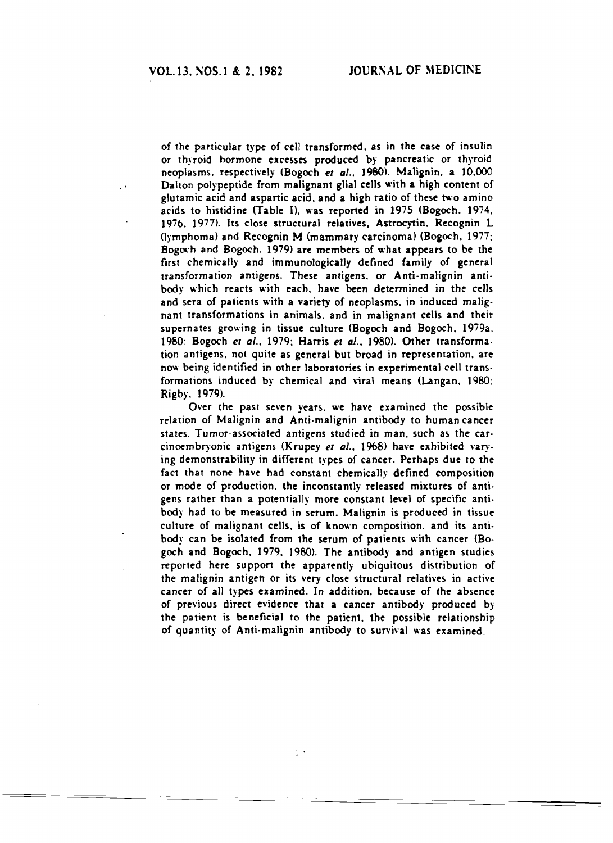of the particular type of cell transformed. as in the case of insulin or thyroid hormone excesses produced by pancreatic or thyroid neoplasms. respectively (Bogoch et al., 1980). Malignin. a 10.000 Dalton polypeptide from malignant glial cells with a high content of glutamic acid and aspartic acid, and a high ratio of these two amino acids to histidine (Table I), was reported in 1975 (Bogoch. 1974, 1976. 1977). Its close structural relatives. Astrocytin. Recognin L (lymphoma) and Recognin M (mammary carcinoma) (Bogoch. 1977; Bogoch and Bogoch. 1979) are members of what appears to be the first chemically and immunologically defined family of general transformation antigens. These antigens, or Anti-malignin antibody which reacts w'ith each, have been determined in the cells and sera of patients with a variety of neoplasms. in induced malig· nant transformations in animals. and in malignant cells and their supernates grow'ing in tissue culture (Bogoch and Bogoch. 1979a. 1980: Bogoch et al., 1979; Harris et al., 1980). Other transformation antigens. not quite as general but broad in representation. are now being identified in other laboratories in experimental cell trans· formations induced by chemical and viral means (Langan. 1980; Rigby. 1979).

Over the past seven years. we have examined the possible relation of Malignin and Anti.malignin antibody to human cancer states. Tumor-associated antigens studied in man. such as the car· cinoembryonic antigens (Krupey et al., 1968) have exhibited varying demonstrability in different types of cancer. Perhaps due to the fact that none have had constant chemically defined composition or mode of production. the inconstantly released mixtures of anti· gens rather than a potentially more constant level of specific anti· body had to be measured in serum. Malignin is produced in tissue culture of malignant cells. is of known composition. and its anti· body can be isolated from the serum of patients with cancer (Bogoch and Bogoch, 1979, 1980). The antibody and antigen studies reported here support the apparently ubiquitous distribution of the malignin antigen or its very close structural relatives in active cancer of all types examined. In addition. because of the absence of previous direct evidence that a cancer antibody produced by the patient is beneficial to the patient. the possible relationship of quantity of Anti·malignin antibody to survival was examined,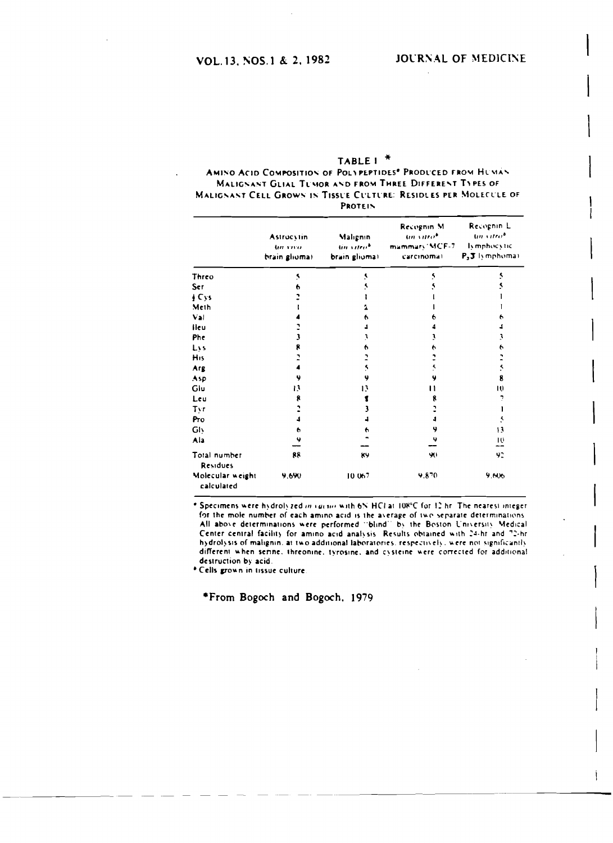| TABLE $1^*$                                                      |
|------------------------------------------------------------------|
| AMINO ACID COMPOSITION OF POLYPEPTIDES® PRODUCED FROM HUMAN      |
| MALIGNANT GLIAL TUMOR AND FROM THREE DIFFERENT TYPES OF          |
| MALIGNANT CELL GROWN IN TISSUE CULTURE: RESIDLES PER MOLECULE OF |
| <b>PROTEIN</b>                                                   |

|                                 | <b>Astrocytin</b><br><b>Un</b> yrva<br>brain glioma) | Malignin<br>tin vitro*<br>brain glioma) | Recognin M<br>an vitrob<br>mammary MCF-7<br>carcinoma) | Recognin L<br>un vitrob<br>lymphocytic<br>$P_3$ 3 lymphomai |
|---------------------------------|------------------------------------------------------|-----------------------------------------|--------------------------------------------------------|-------------------------------------------------------------|
| Threo                           | ۹                                                    | s                                       |                                                        |                                                             |
| Ser                             |                                                      |                                         |                                                        |                                                             |
| $\int Cys$                      |                                                      |                                         |                                                        |                                                             |
| Meth                            |                                                      |                                         |                                                        |                                                             |
| Val                             |                                                      | n                                       |                                                        |                                                             |
| lieu                            |                                                      |                                         |                                                        |                                                             |
| Phe                             |                                                      |                                         |                                                        |                                                             |
| Lys                             |                                                      | n                                       | o                                                      |                                                             |
| His                             |                                                      |                                         |                                                        |                                                             |
| Arg                             |                                                      |                                         | ٢                                                      | ۹                                                           |
| Asp                             | 9                                                    | Ÿ                                       | 4                                                      | g                                                           |
| Glu                             | 13                                                   | 13                                      | וו                                                     | 10                                                          |
| Leu                             | 8                                                    |                                         | R                                                      |                                                             |
| Tyr                             |                                                      |                                         |                                                        |                                                             |
| Pro                             |                                                      |                                         |                                                        |                                                             |
| GIV                             | 6                                                    |                                         | 9                                                      | 13                                                          |
| Ala                             | u                                                    |                                         | 4                                                      | 10<br>--                                                    |
| Total number<br><b>Residues</b> | 88                                                   | 89                                      | 90                                                     | 92                                                          |
| Molecular weight<br>calculated  | 9.690                                                | 10.067                                  | 9.870                                                  | 9.606                                                       |

\* Specimens were hydrolyzed in vacuo with 6N HCI at 108°C for 12 hr. The nearest integer. for the mole number of each amino acid is the average of two separate determinations. All above determinations were performed "blind" by the Boston University Medical Center central facility for amino acid analysis. Results obtained with 24-hr and 72-hr hydrolysis of malignin, at two additional laboratories, respectively, were not significantly different when serine, threonine, tyrosine, and cysteine were corrected for additional destruction by acid.

\* Cells grown in tissue culture.

\*From Bogoch and Bogoch, 1979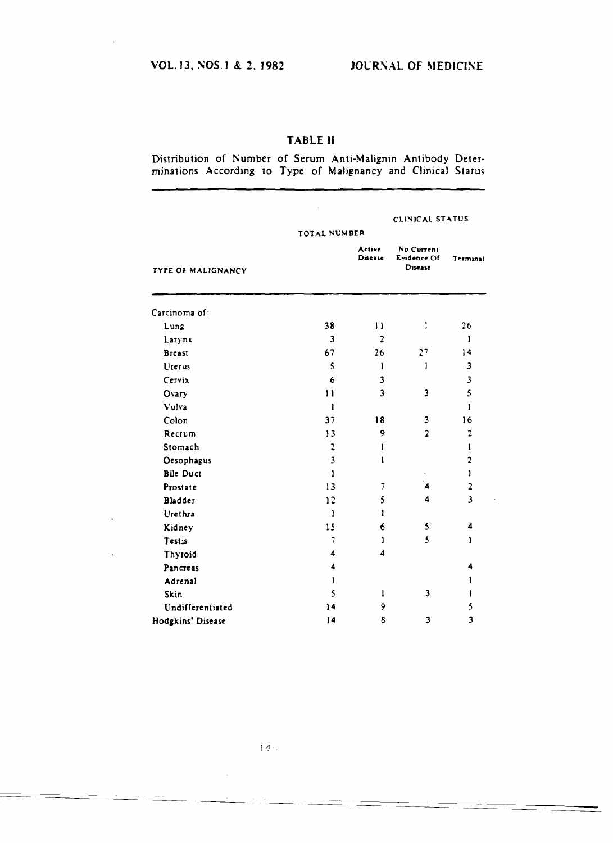### TABLE II

Distribution of Number of Serum Anti-Malignin Antibody Deter-<br>minations According to Type of Malignancy and Clinical Status

|                           |                         |                          | CLINICAL STATUS                             |                         |  |
|---------------------------|-------------------------|--------------------------|---------------------------------------------|-------------------------|--|
|                           | TOTAL NUMBER            |                          |                                             |                         |  |
| <b>TYPE OF MALIGNANCY</b> |                         | <b>Active</b><br>Disease | No Current<br>Evidence Of<br><b>Disease</b> | Terminal                |  |
| Carcinoma of:             |                         |                          |                                             |                         |  |
| Lung                      | 38                      | 11                       | ı                                           | 26                      |  |
| Larynx                    | 3                       | $\overline{2}$           |                                             | ı                       |  |
| <b>Breast</b>             | 67                      | 26                       | 27                                          | 14                      |  |
| Uterus                    | 5                       | 1                        | 1                                           | 3                       |  |
| Cervix                    | 6                       | 3                        |                                             | $\overline{\mathbf{3}}$ |  |
| Ovary                     | 11                      | $\overline{\mathbf{3}}$  | 3                                           | 5                       |  |
| Vulva                     | $\mathbf{r}$            |                          |                                             | ì                       |  |
| Colon                     | 37                      | 18                       | 3                                           | 16                      |  |
| Rectum                    | 13                      | 9                        | $\overline{2}$                              | $\mathbf{c}$            |  |
| Stomach                   | $\mathbf{r}$            | Ŧ                        |                                             | $\mathbf{I}$            |  |
| Oesophagus                | $\overline{\mathbf{3}}$ | 1                        |                                             | $\overline{\mathbf{c}}$ |  |
| <b>Bile Duct</b>          | 1                       |                          |                                             | $\mathbf{1}$            |  |
| Prostate                  | 13                      | 7                        | 4                                           | $\overline{\mathbf{z}}$ |  |
| <b>Bladder</b>            | 12                      | 5                        | 4                                           | 3                       |  |
| Urethra                   | 1                       | $\mathbf{1}$             |                                             |                         |  |
| Kidney                    | 15                      | 6                        | 5                                           | 4                       |  |
| Testis                    | $\overline{7}$          | ı                        | 5                                           | 1                       |  |
| Thyroid                   | 4                       | 4                        |                                             |                         |  |
| Pancreas                  | 4                       |                          |                                             | 4                       |  |
| Adrenal                   | 1                       |                          |                                             | ı                       |  |
| <b>Skin</b>               | 5                       | 1                        | 3                                           | t                       |  |
| Undifferentiated          | 14                      | 9                        |                                             | 5                       |  |
| Hodgkins' Disease         | 14                      | 8                        | 3                                           | 3                       |  |

 $\mathcal{L}_{\mathcal{L}}$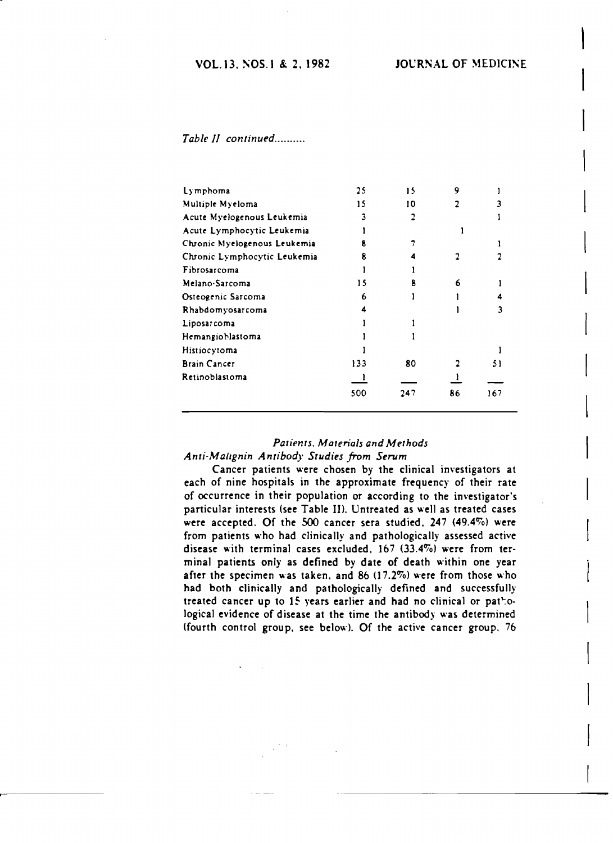### VOL. 13. NOS. 1 & 2. 1982 JOURNAL OF MEDICINE

#### *Table* 1/ *continued .*

| Lymphoma                     | 25  | 15  |    |     |
|------------------------------|-----|-----|----|-----|
| Multiple Myeloma             | 15  | 10  |    |     |
| Acute Myelogenous Leukemia   |     |     |    |     |
| Acute Lymphocytic Leukemia   |     |     |    |     |
| Chronic Myelogenous Leukemia |     |     |    |     |
| Chronic Lymphocytic Leukemia |     |     |    |     |
| Fibrosarcoma                 |     |     |    |     |
| Melano-Sarcoma               | 15  |     | 6  |     |
| Osteogenic Sarcoma           | 6   |     |    |     |
| Rhabdomyosarcoma             |     |     |    |     |
| Liposarcoma                  |     |     |    |     |
| Hemangioblastoma             |     |     |    |     |
| <b>Histiocytoma</b>          |     |     |    |     |
| <b>Brain Cancer</b>          | 133 | 80  |    | 51  |
| Retinoblastoma               |     |     |    |     |
|                              | 500 | 247 | 86 | 167 |

### *Patients. Materials and Methods Anti·Mallgnin Antibody Studies from Serum*

Cancer patients were chosen by the clinical investigators at each of nine hospitals in the approximate frequency of their rate of occurrence in their population or according to the investigator's particular interests (see Table II). Untreated as well as treated cases were accepted. Of the SOO cancer sera studied. 247 (49.4%) were from patients who had clinically and pathologically assessed active disease with terminal cases excluded. 167 (33.4%) were from terminal patients only as defined by date of death within one year after the specimen was taken, and  $86$  (17.2%) were from those who had both clinically and pathologically defined and successfully treated cancer up to 15 years earlier and had no clinical or pathological evidence of disease at the time the antibody was determined {fourth control group. see below}. Of the active cancer group. 76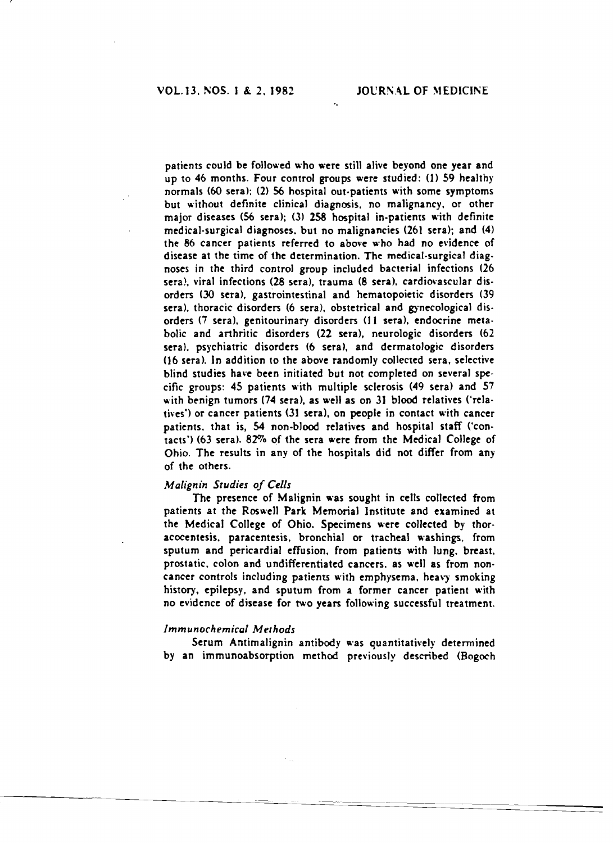patients could be followed who were still alive beyond one year and up to 46 months, Four control groups were studied: (1) 59 healthy normals (60 sera); (2) 56 hospital out.patients with some symptoms but without definite clinical diagnosis, no malignancy, or other major diseases (56 sera); (3) 258 hospital in-patients with definite medical-surgical diagnoses. but no malignancies (261 sera); and (4) the 86 cancer patients referred to above who had no evidence of disease at the time of the determination. The medical-surgical diag. noses in the third control group included bacterial infections (26 sera), viral infections (28 sera), trauma (8 sera), cardiovascular disorders (30 sera), gastrointestinal and hematopoietic disorders (39 sera), thoracic disorders (6 sera), obstetrical and gynecological disorders (7 sera), genitourinary disorders (11 sera), endocrine metabolic and arthritic disorders (22 sera), neurologic disorders (62 sera), psychiatric disorders (6 sera), and dermatologic disorders (]6 sera), In addition to the above randomly collected sera, selective blind studies have been initiated but not completed on several specific groups: 45 patients with multiple sclerosis (49 sera) and 57 with benign tumors (74 sera). as well as on 3] blood relatives ('relatives') or cancer patients (31 sera), on people in contact with cancer patients. that is, 54 non-blood relatives and hospital staff ('contacts') (63 sera). 82% of the sera were from the Medical College of Ohio, The results in any of the hospitals did not differ from any of the others.

"

#### *Malignin Studies of Cells*

The presence of Malignin was sought in cells collected from patients at the Roswell Park Memorial Institute and examined at the Medical College of Ohio. Specimens were collected by thoracocentesis, paracentesis, bronchial or tracheal washings, from sputum and pericardial effusion, from patients with lung, breast, prostatic, colon and undifferentiated cancers, as well as from noncancer controls including patients with emphysema, heavy smoking history, epilepsy, and sputum from a former cancer patient with no evidence of disease for two years following successful treatment.

#### *lmmunochemical Methods*

Serum Antimalignin antibody was quantitatively determined by an immunoabsorption method previously described (Bogoch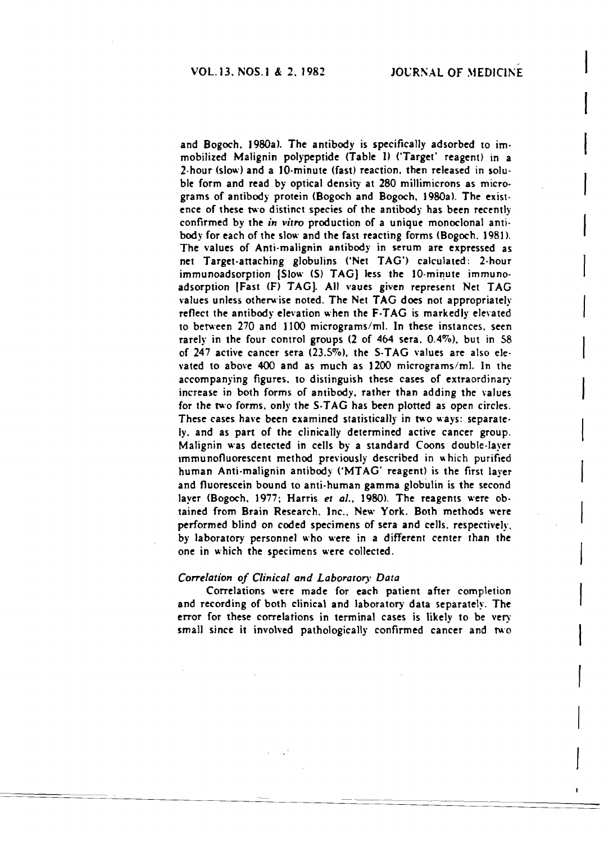(

 $\vert$ 

 $\vert$ 

 $\vert$ 

and Bogoch, 1980a). The antibody is specifically adsorbed to immobilized Malignin polypeptide <Table 1) ('Target' reagent) in a 2·hour (slow) and a JO·minute (fast) reaction. then released in solu· priority shows and a To-minute viasts reaction, their released in solution.<br>
Ble form and read by optical density at 280 millimicrons as micro-<br>
grams of antibody protein (Bogoch and Bogoch, 1980a). The existence of these two distinct species of the antibody has been recently confirmed by the *in vitro* production of a unique monoclonal antibody for each of the slow and the fast reacting forms (Bogoch.  $1981$ ). The values of Anti-malignin antibody in serum are expressed as net Target-attaching globulins ('Net TAG') calculated: 2-hour<br>immunoadsorption [Slow (S) TAG] less the 10-minute immunoadsorption (Fast (F) TAG). All vaues given represent Net TAG values unless otherwise noted. The Net TAG does not appropriately reflect the antibody elevation when the F-TAG is markedly elevated to between 270 and 1100 micrograms/ml. In these instances, seen rarely in the four control groups  $(2 \text{ of } 464 \text{ sera}, 0.4\%)$ , but in 58 of  $247$  active cancer sera (23.5%), the S-TAG values are also elevated to above  $400$  and as much as  $1200$  micrograms/ml. In the accompanying figures, to distinguish these cases of extraordinary increase in both forms of antibody, rather than adding the values for the two forms, only the S-TAG has been plotted as open circles. These cases have been examined statistically in two ways: separately, and as part of the clinically determined active cancer group. Malignin was detected in cells by a standard Coons double·layer immunofluorescent method previously described in which purified human Anti-malignin antibody ('MTAG' reagent) is the first layer and fluorescein bound to anti·human gamma globulin is the second layer (Bogoch, 1977; Harris *et al.,* 1980), The reagents were ob· tained from Brain Research. Inc.. New York. Both methods were performed blind on coded specimens of sera and cells, respectively, by laboratory personnel who were in a different center than the one in which the specimens were collected.

#### *Correlation of Clinical and Laborarory Data*

Correlations were made for each patient after completion and recording of both clinical and laboratory data separately. The error for these correlations in terminal cases is likely to be very small since it involved pathologically confirmed cancer and two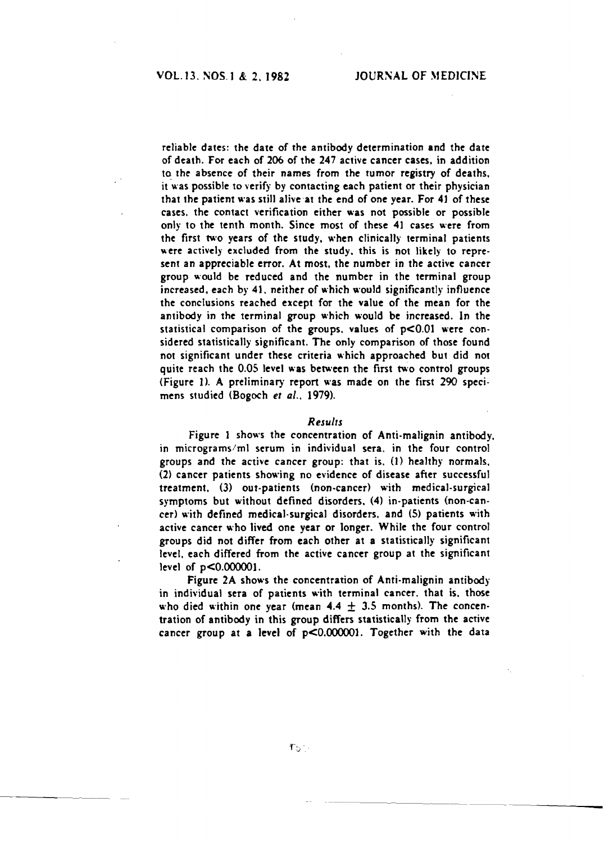reliable dates: the date of the antibody determination and the date of death. For each of 206 of the 247 active cancer cases. in addition to the absence of their names from the tumor registry of deaths. it was possible to verify by contacting each patient or their physician that the patient was still alive-at the end of one year. For 4J of these cases. the contact verification either was not possible or possible only to the tenth month. Since most of these 41 cases were from the first two years of the study. when clinically terminal patients were actively excluded from the study, this is not likely to represent an appreciable error. At most. the number in the active cancer group would be reduced and the number in the terminal group increased. each by 41. neither of which would significantly influence the conclusions reached except for the value of the mean for the antibody in the terminal group which would be increased. In the statistical comparison of the groups, values of  $p<0.01$  were considered statistically significant. The only comparison of those found not significant under these criteria which approached but did not quite reach the 0.05 level was between the first two control groups (Figure 1). A preliminary report was made on the first 290 specimens studied (Bogoch *et al.. 1979).* 

#### *Results*

Figure 1 shows the concentration of Anti-malignin antibody. in micrograms/ml serum in individual sera. in the four control groups and the active cancer group: that is. (1) healthy normals. (2) cancer patients showing no evidence of disease after successful treatment. (3) out-patients (non-cancer) with medical-surgical symptoms but without defined disorders. (4) in-patients (non-cancer) with defined medical·surgical disorders. and (5) patients with active cancer who lived one year or longer. While the four control groups did not differ from each other at a statistically significant level. each differed from the active cancer group at the significant level of  $p<0.000001$ .

Figure 2A shows the concentration of Anti-malignin antibody in individual sera of patients with terminal cancer. that is, those who died within one year (mean  $4.4 \pm 3.5$  months). The concentration of antibody in this group differs statistically from the active cancer group at a level of p<0.000001. Together with the data

-------~----

----~--~--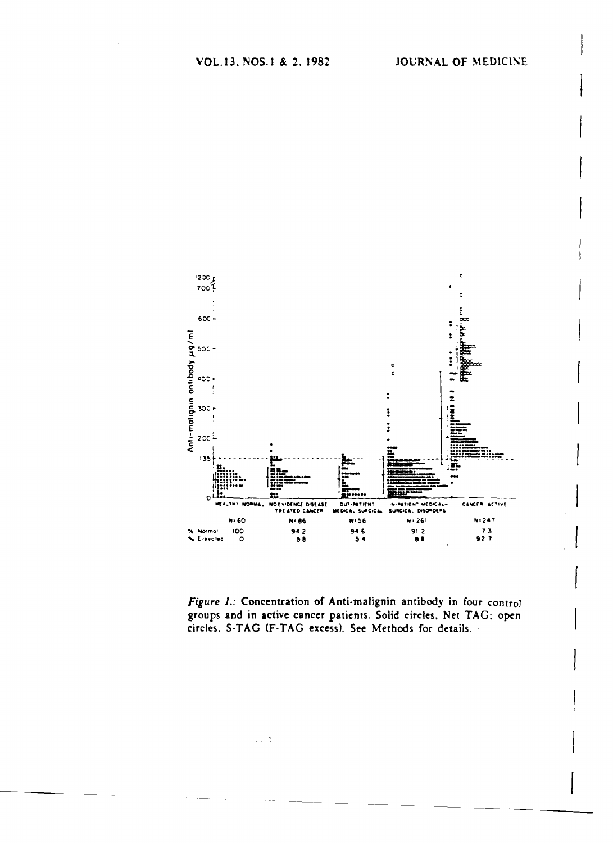

Figure 1.: Concentration of Anti-malignin antibody in four control groups and in active cancer patients. Solid circles, Net TAG; open circles, S-TAG (F-TAG excess). See Methods for details.

 $\chi$  ,  $\sim$  3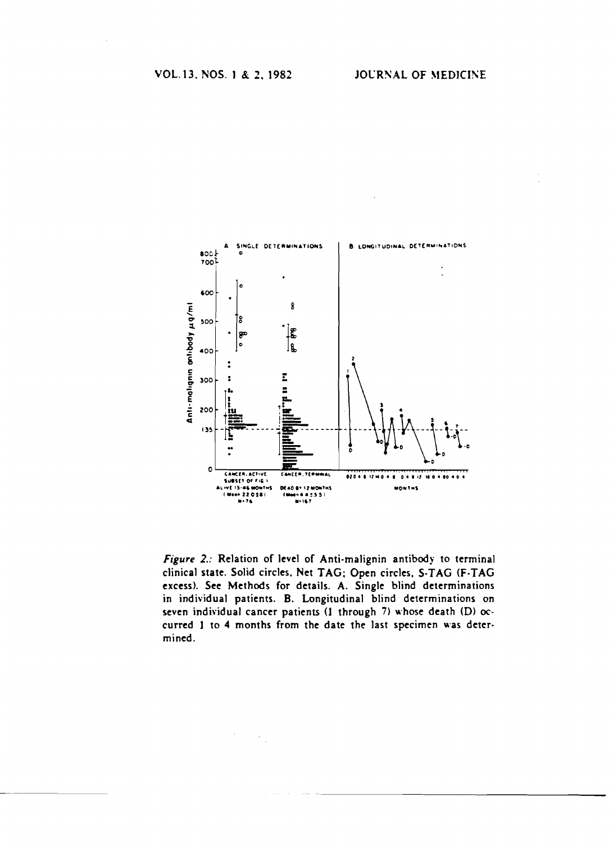

Figure 2.: Relation of level of Anti-malignin antibody to terminal clinical state. Solid circles, Net TAG; Open circles, S-TAG (F-TAG excess). See Methods for details. A. Single blind determinations in individual patients. B. Longitudinal blind determinations on seven individual cancer patients (1 through 7) whose death (D) occurred 1 to 4 months from the date the last specimen was determined.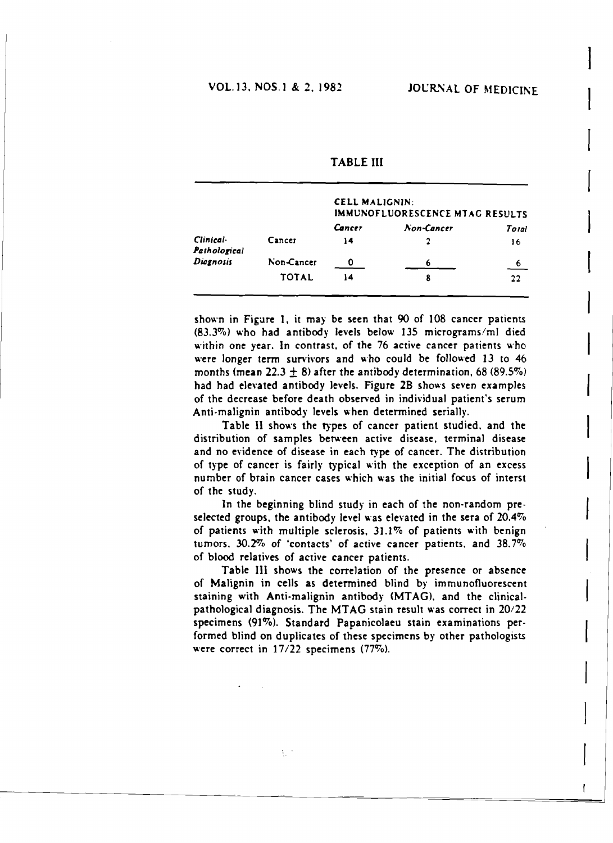|                           |              | <b>CELL MALIGNIN:</b><br>IMMUNOFLUORESCENCE MTAG RESULTS |            |       |
|---------------------------|--------------|----------------------------------------------------------|------------|-------|
|                           |              | Cancer                                                   | Non-Cancer | Total |
| Clinical-<br>Pathological | Cancer       | 14                                                       |            | 16    |
| Diagnosis                 | Non-Cancer   | ŋ                                                        |            | 6     |
|                           | <b>TOTAL</b> | 14                                                       | 8          | 22    |

**TABLE III** 

shown in Figure 1, it may be seen that 90 of 108 cancer patients (83.3%) who had antibody levels below 135 micrograms/ml died within one year. In contrast, of the 76 active cancer patients who were longer term survivors and who could be followed 13 to 46 months (mean  $22.3 \pm 8$ ) after the antibody determination, 68 (89.5%) had had elevated antibody levels. Figure 2B shows seven examples of the decrease before death observed in individual patient's serum Anti-malignin antibody levels when determined serially.

Table II shows the types of cancer patient studied, and the distribution of samples between active disease, terminal disease and no evidence of disease in each type of cancer. The distribution of type of cancer is fairly typical with the exception of an excess number of brain cancer cases which was the initial focus of interst of the study.

In the beginning blind study in each of the non-random preselected groups, the antibody level was elevated in the sera of  $20.4\%$ of patients with multiple sclerosis, 31.1% of patients with benign tumors, 30.2% of 'contacts' of active cancer patients, and 38.7% of blood relatives of active cancer patients.

Table III shows the correlation of the presence or absence of Malignin in cells as determined blind by immunofluorescent staining with Anti-malignin antibody (MTAG), and the clinicalpathological diagnosis. The MTAG stain result was correct in 20/22 specimens (91%). Standard Papanicolaeu stain examinations performed blind on duplicates of these specimens by other pathologists were correct in  $17/22$  specimens (77%).

 $\frac{1}{2} \frac{1}{2}$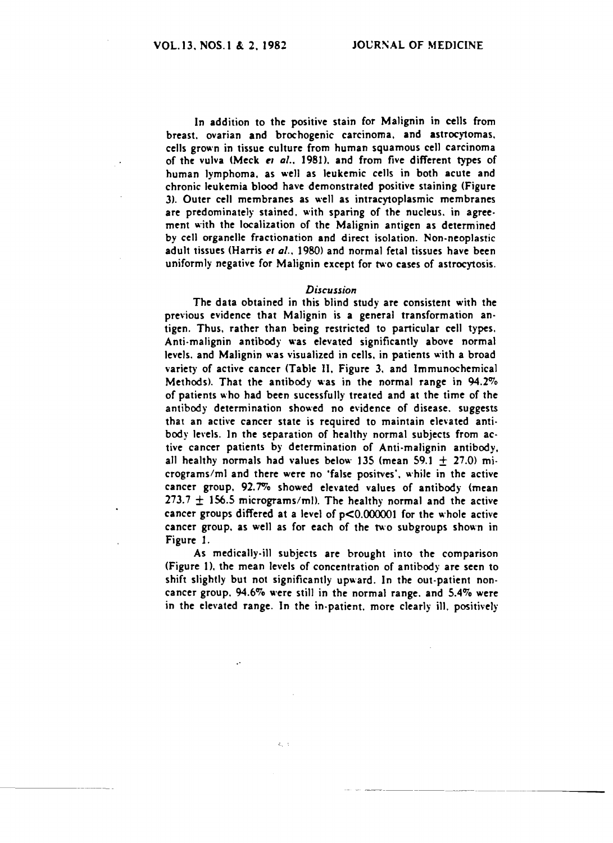------ -~-~~----

In addition to the positive stain for Malignin in cells from breast. ovarian and brochogenic carcinoma. and astrocytomas, cells grown in tissue culture from human squamous cell carcinoma of the vulva (Meck et al., 1981), and from five different types of human lymphoma. as well as leukemic cells in both acute and chronic leukemia blood have demonstrated positive staining (Figure 3). Outer cell membranes as well as intracytoplasmic membranes are predominately stained, with sparing of the nucleus, in agreement with the localization of the Malignin antigen as determined by cell organelle fractionation and direct isolation. Non-neoplastic adult tissues (Harris er *al..* 1980) and normal fetal tissues have been uniformIy negative for Malignin except for two cases of astrocytosis.

#### *Discussion*

The data obtained in this blind study are consistent with the previous evidence that Malignin is a general transformation antigen. Thus. rather than being restricted to particular cell types, Anti·malignin antibody was elevated significantly above normal levels. and Malignin was visualized in cells, in patients with a broad variety of active cancer (Table II, Figure 3, and Immunochemical Methods). That the antibody was in the normal range in  $94.2\%$ of patients who had been sucessfully treated and at the time of the antibody determination showed no evidence of disease. suggests that an active cancer state is required to maintain elevated antibody levels. In the separation of healthy normal subjects from active cancer patients by determination of Anti-malignin antibody. all healthy normals had values below 135 (mean 59.1  $\pm$  27.0) micrograms/ml and there were no 'false positves', while in the active cancer group. 92.7% showed elevated values of antibody (mean 273.7  $\pm$  156.5 micrograms/ml). The healthy normal and the active cancer groups differed at a level of p<O.OOOOOI for the whole active cancer group. as well as for each of the two subgroups shown in Figure 1.

As medically-ill subjects are brought into the comparison (Figure 1), the mean levels of concentration of antibody are seen to shift slightly but not significantly upward. In the out-patient noncancer group. 94.6% were still in the normal range, and 5.4% were in the elevated range. In the in-patient. more clearly ill. positively

 $\zeta = 1$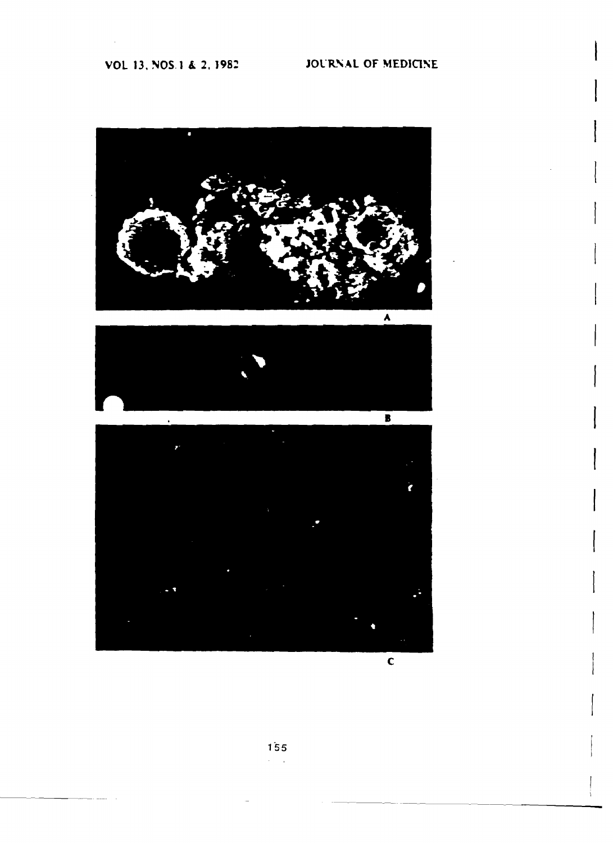# VOL 13, NOS.1 & 2, 1982 JOURNAL OF MEDICINE







 $\overline{\mathbf{c}}$ 

155  $\lambda = 1$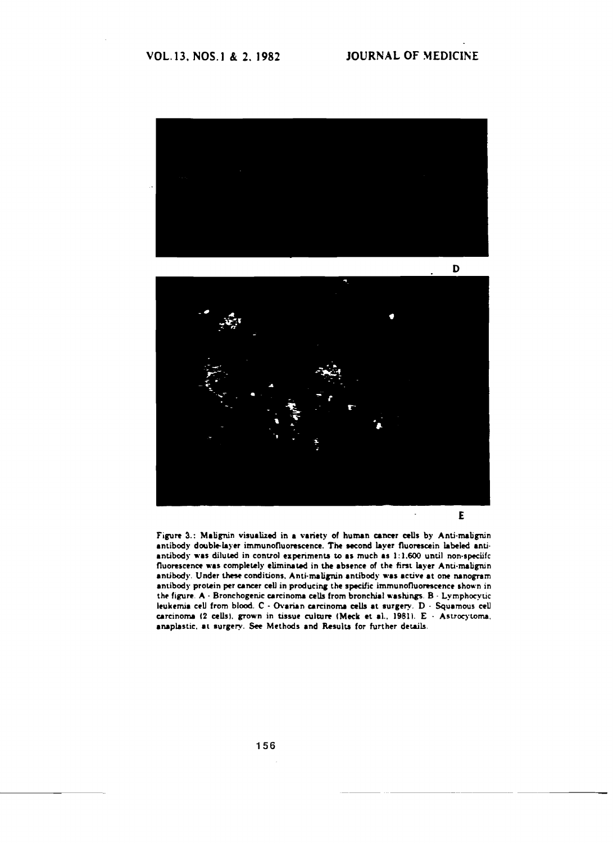



E

Figure 3.: Malignin visualized in a variety of human cancer cells by Anti-malignin antibody double-layer immunofluorescence. The second layer fluorescein labeled antiantibody was diluted in control experiments to as much as  $1:1.600$  until non-speciifc fluorescence was completely eliminated in the absence of the first layer Anti-malignin antibody. Under these conditions. Anti-malignin antibody was active at one nanogram antibody protein per cancer cell in producing the specific immunofluorescence shown in the figure. A  $\cdot$  Bronchogenic carcinoma cells from bronchial washings. B  $\cdot$  Lymphocytic leukemia cell from blood. C - Ovarian carcinoma cells at surgery. D - Squamous cell carcinoma (2 cells), grown in tissue culture (Meck et al., 1981).  $E +$  Astrocytoma. anaplastic. at surgery. See Methods and Results for further details.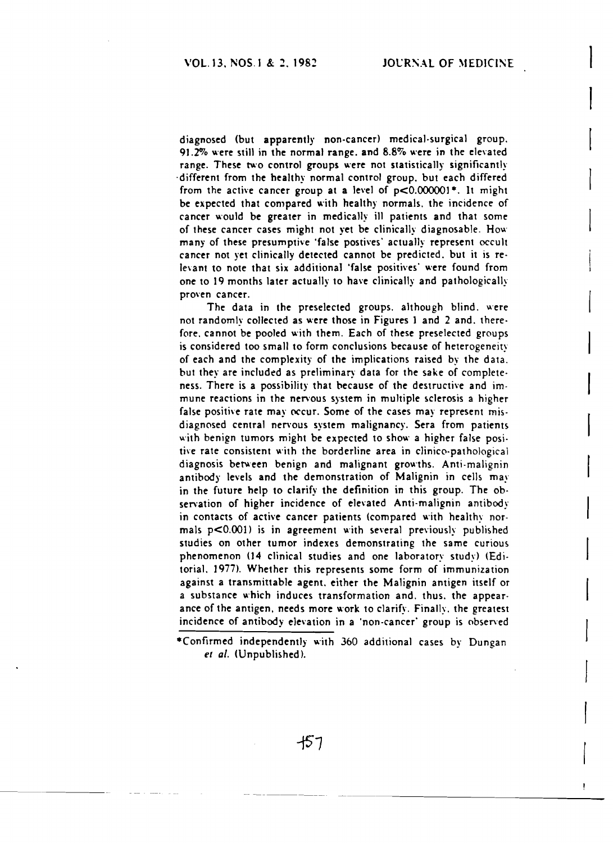diagnosed (but apparently non-cancer) medical·surgical group. 91.2% were still in the normal range. and 8.8% were in the elevated range. These two control groups were not statistically significantly ·different from the healthy normal control group. but each differed from the active cancer group at a level of  $p<0.000001$ \*. It might be expected that compared with healthy normals. the incidence of cancer would be greater in medically ill patients and that some of these cancer cases might not yet be clinically diagnosable. How many of these presumptive 'false postives' actually represent occult cancer not yet clinically detected cannot be predicted, but it is relevant to note that six additional 'false positives' were found from one to 19 months later actually to have clinically and pathologically proven cancer.

The data in the preselected groups. although blind. were not randomly collected as were those in Figures 1 and 2 and. there· fore. cannot be pooled with them. Each of these preselected groups is considered too small to form conclusions because of heterogeneity of each and the complexity of the implications raised by the data. but they are included as preliminary data for the sake of complete. ness. There is a possibility that because of the destructive and immune reactions in the nervous system in multiple sclerosis a higher false positive rate may occur. Some of the cases may represent misdiagnosed central nervous system malignancy. Sera from patients with benign tumors might be expected to show a higher false positive rate consistent with the borderline area in clinico-pathological diagnosis between benign and malignant growths. Anti-malignin antibody levels and the demonstration of Malignin in cells may in the future help to clarify the definition in this group. The ob· sen'ation of higher incidence of elevated Anti·malignin antibody in contacts of active cancer patients (compared with healthy normals  $p<0.001$ ) is in agreement with several previously published studies on other tumor indexes demonstrating the same curious phenomenon (]4 clinical studies and one laboratory study) (Edi· torial. 1977). Whether this represents some form of immunization against a transmittable agent. either the Malignin antigen itself or a substance which induces transformation and. thus. the appearance of the antigen. needs more work to clarify. Finally. the greatest incidence of antibody elevation in a 'non-cancer' group is observed

457

<sup>\*</sup>Confirmed independently with 360 additional cases by Dungan et al. (Unpublished).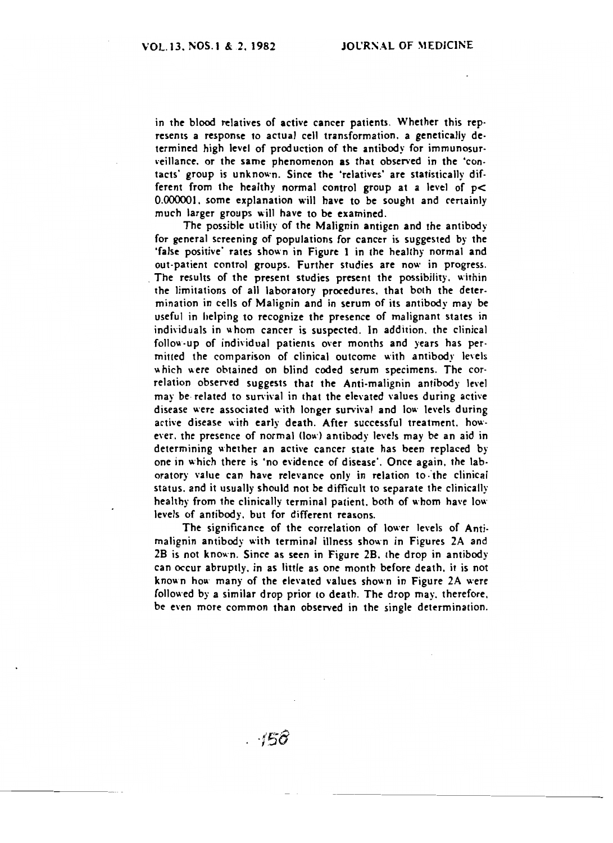in the blood relatives of active cancer patients. Whether this represents a response to actual cell transformation, a genetically determined high level of production of the antibody for immunosurveillance, or the same phenomenon as that observed in the 'contacts' group is unknown. Since the 'relatives' are statistically different from the healthy normal control group at a level of p< 0.000001, some explanation will have to be sought and certainly much larger groups will have to be examined.

The possible utility of the Malignin antigen and the antibody for general screening of populations for cancer is suggested by the 'false positive' rates shown in Figure 1 in the healthy normal and out-patient control groups. Further studies are now in progress. The results of the present studies present the possibility, within the limitations of all laboratory procedures, that both the determination in cells of Malignin and in serum of its antibody may be useful in helping to recognize the presence of malignant states in individuals in whom cancer is suspected. In addition, the clinical follow-up of individual patients over months and years has permitted the comparison of clinical outcome with antibody levels which were obtained on blind coded serum specimens. The correlation observed suggests that the Anti-malignin antibody level may be related to survival in that the elevated values during active disease were associated with longer survival and low levels during active disease with early death. After successful treatment, however, the presence of normal (low) antibody levels may be an aid in determining whether an active cancer state has been replaced by one in which there is 'no evidence of disease'. Once again, the laboratory value can have relevance only in relation to the clinical status, and it usually should not be difficult to separate the clinically healthy from the clinically terminal patient, both of whom have low levels of antibody, but for different reasons.

The significance of the correlation of lower levels of Antimalignin antibody with terminal illness shown in Figures 2A and 2B is not known. Since as seen in Figure 2B, the drop in antibody can occur abruptly, in as little as one month before death, it is not known how many of the elevated values shown in Figure 2A were followed by a similar drop prior to death. The drop may, therefore, be even more common than observed in the single determination.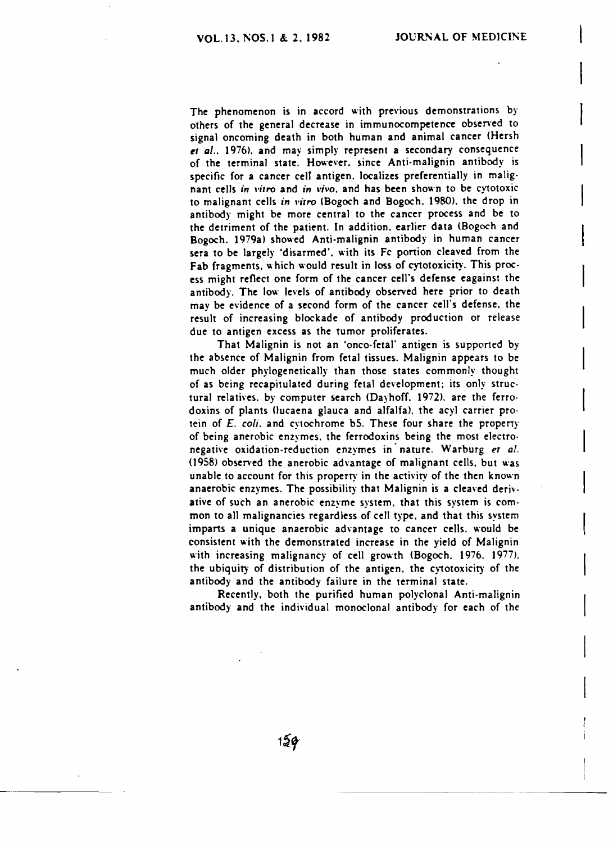The phenomenon is in accord with previous demonstrations by others of the general decrease in immunocompetence observed to signal oncoming death in both human and animal cancer (Hersh *et al..* 1976). and may simply represent a secondary consequence of the terminal state. However. since Anti·malignin antibody is specific for a cancer cell antigen. localizes preferentially in malignant cells in *vitro* and in *vivo*, and has been shown to be cytotoxic to malignant cells in *"irro* (Bogoch and Bogoch. 1980). the drop in antibody might be more central to the cancer process and be to the detriment of the patient. In addition. earlier data (Bogoch and Bogoch. 1979a) showed Anti-malignin antibody in human cancer sera to be largely 'disarmed', with its Fc portion cleaved from the Fab fragments, which would result in loss of cytotoxicity. This process might reflect one form of the cancer cell's defense eagainst the antibody. The low levels of antibody observed here prior to death may be evidence of a second form of the cancer cell's defense. the result of increasing blockade of antibody production or release due to antigen excess as the tumor proliferates.

That Malignin is not an 'onco-fetal' antigen is supported by the absence of Malignin from fetal tissues. Malignin appears to be much older phylogenetically than those states commonly thought of as being recapitulated during fetal development; its only struc· tural relatives. by computer search (Dayhoff. 1972). are the ferro· doxins of plants (Jucaena glauca and alfalfa). the acyl carrier protein of *E. coli.* and cytochrome b5. These four share the property of being anerobic enzymes. the ferrodoxins being the most electro· negative oxidation-reduction enzymes in nature. Warburg et al.  $(1958)$  observed the anerobic advantage of malignant cells, but was unable to account for this property in the activity of the then known anaerobic enzymes. The possibility that Malignin is a cleaved deriv. ative of such an anerobic enzyme system. that this system is com· mon to all malignancies regardless of cell type, and that this system imparts a unique anaerobic advantage to cancer cells. would be consistent with the demonstrated increase in the yield of Malignin with increasing malignancy of cell growth (Bogoch. 1976. 1977). the ubiquity of distribution of the antigen. the cytotoxicity of the antibody and the antibody failure in the terminal state.

Recently, both the purified human polyclonal Anti·malignin antibody and the individual monoclonal antibody for each of the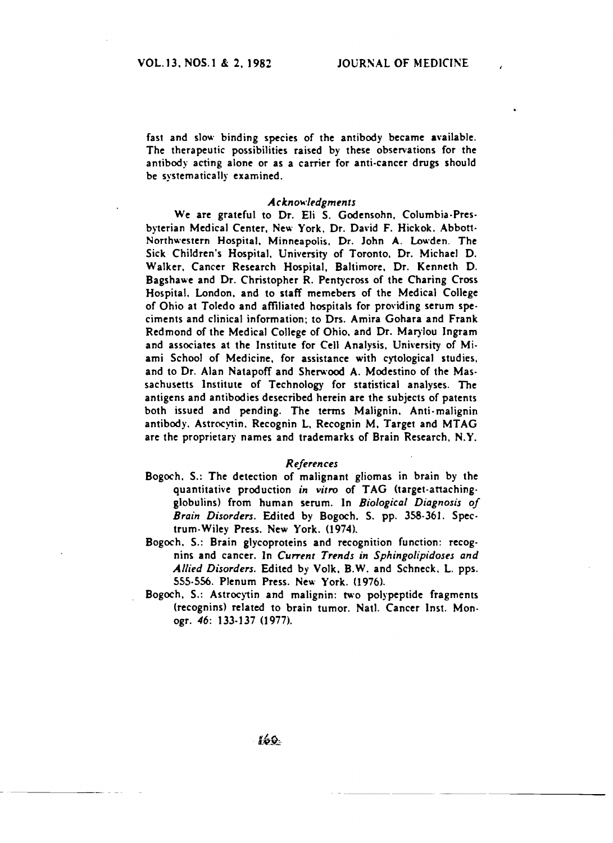fast and slow binding species of the antibody became available. The therapeutic possibilities raised by these observations for the antibody acting alone or as a carrier for anti-cancer drugs should be systematically examined.

#### *Acknok'/f'dgments*

We are grateful to Dr. Eli S. Godensohn. Columbia·Presbyterian Medical Center. New York. Dr. David F. Hickok. Abbott-Northwestern Hospital. Minneapolis. Dr. John A. Lowden. The Sick Children's Hospital, University of Toronto. Dr. Michael D. Walker. Cancer Research Hospital. Baltimore. Dr. Kenneth D. Bagshawe and Dr. Christopher R. Pentycross of the Charing Cross Hospital. London. and to staff memebers of the Medical College of Ohio at Toledo and affiliated hospitals for providing serum speciments and clinical information; to Drs. Amira Gohara and Frank Redmond of the Medical College of Ohio. and Dr. Marylou Ingram and associates at the Institute for Cell Analysis. University of Miami School of Medicine, for assistance with cytological studies, and to Dr. Alan Natapoff and Sherwood A. Modestino of the Mas· sachusetts Institute of Technology for statistical analyses. The antigens and antibodies desecribed herein are the subjects of patents both issued and pending. The terms Malignin. Anti·malignin antibody. Astrocytin. Recognin L. Recognin M. Target and MTAG are the proprietary names and trademarks of Brain Research. N.Y.

#### *References*

- Bogoch. S.: The detection of malignant gliomas in brain by the quantitative production *in vitro* of TAG <target-attaching· globulins) from human serum. In *Biological Diagnosis of Brain Disorders.* Edited by Bogoch. S. pp. 358·361. Spec· trum-Wiley Press. New York. (1974).
- Bogoch. S.: Brain glycoproteins and recognition function: recog· nins and cancer. In *Current Trends in Sphingolipidoses and Allied Disorders.* Edited by Volk. B.W. and Schneck. L. pps. 555-556. Plenum Press. New York. (1976).
- Bogoch, S.: Astrocytin and malignin: two polypeptide fragments (recognins) related to brain tumor. Natl. Cancer Inst. Monogr. 46: 133-137 (1977).

160.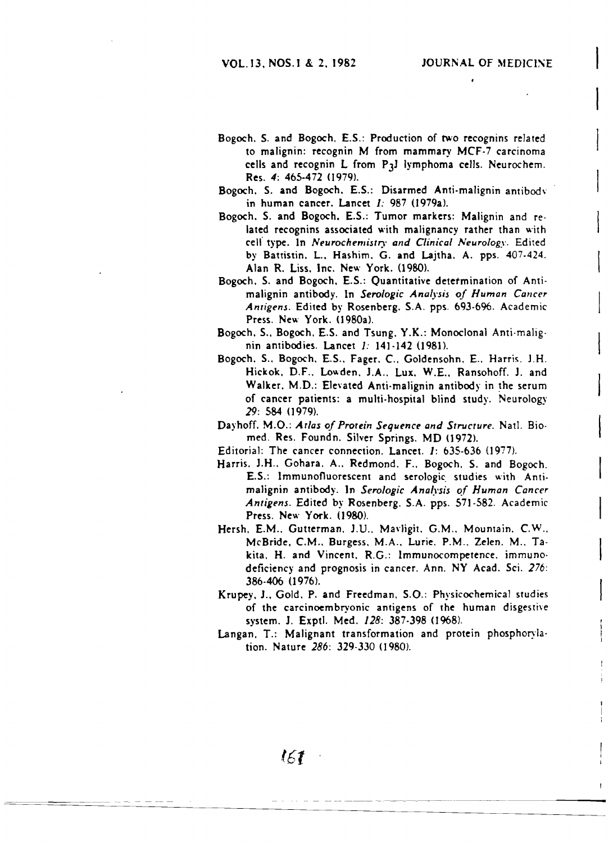- Bogoch. S. and Bogoch. E.S.: Production of two recognins related to malignin: recognin M from mammary MCF-7 carcinoma cells and recognin L from P3l lymphoma cells. Neurochem. Res. 4: 465-472 (1979).
- Bogoch. S. and Bogoch, E.S.: Disarmed Anti-malignin antibody in human cancer. Lancet  $I: 987$  (1979a).
- Bogoch. S. and Bogoch. E.S.: Tumor markers: Malignin and related recognins associated with malignancy rather than with cell' type. In *Neurochemistry and Clinical Neurology.* Edited by Battistin. L.. Hashim. G. and Lajtha. A. pps. 407.424. Alan R. Liss. Inc. New York. (1980).
- Bogoch. S. and Bogoch. E.S.: Quantitative detetmination of Anti· malignin antibody. In *Serologic Analysis of Human Cancer Antigens.* Edited by Rosenberg. S.A. pps. 693-696. Academic Press. New York. (1980a).
- Bogoch. 5.. Bogoch. E.S. and Tsung. Y.K.: Monoclonal Anti·malig. nin antibodies. Lancet 1: 14] ·142 (1981),
- Bogoch. 5.. Bogoch. E.S.. Fager. C. Goldensohn. E.. Harris. J.H. Hickok. D.F.. Lowden. *l.A..* Lux. W.E.. Ransohoff. 1. and Walker. M.D.: Elevated Anti-malignin antibody in the serum of cancer patients: a multi· hospital blind study. Neurology 29: 584 (] 979).
- Dayhoff. M.O.: *Atlas of Protein Sequence and Structure.* Natl. Bio· med. Res. Foundn. Silver Springs. MD (1972).

Editorial: The cancer connection. Lancet.  $I: 635-636$  (1977).

- Harris. 1.H.. Gohara. A.. Redmond. F.. Bogoch. S. and Bogoch. E.S.: Immunofluorescent and serologic. studies with Anti· maJignin antibody. Jn *Serologic Ana(\'sis of Human Cancer*  Antigens. Edited by Rosenberg. S.A. pps. 571-582. Academic Press. New York. (1980).
- Hersh. E.M., Gutterman. J.U., Mavligit. G.M., Mountain. C.W.. McBride. CM.. Burgess. M.A .. Lurie. P.M .. Zelen. M.. Takita. H. and Vincent. R.G.: Immunocompetence. immunodeficiency and prognosis in cancer. Ann. NY Acad. Sci. 276: 386-406 (1976).
- Krupey. J.• Gold. P. and Freedman. S.O.: Physicochemical studies of the carcinoembryonic antigens of the human disgestive system. J. Exptl. Med. 128: 387-398 (1968).
- Langan. T.: Malignant transformation and protein phosphorylation. Nature 286: 329-330 (1980).

(61